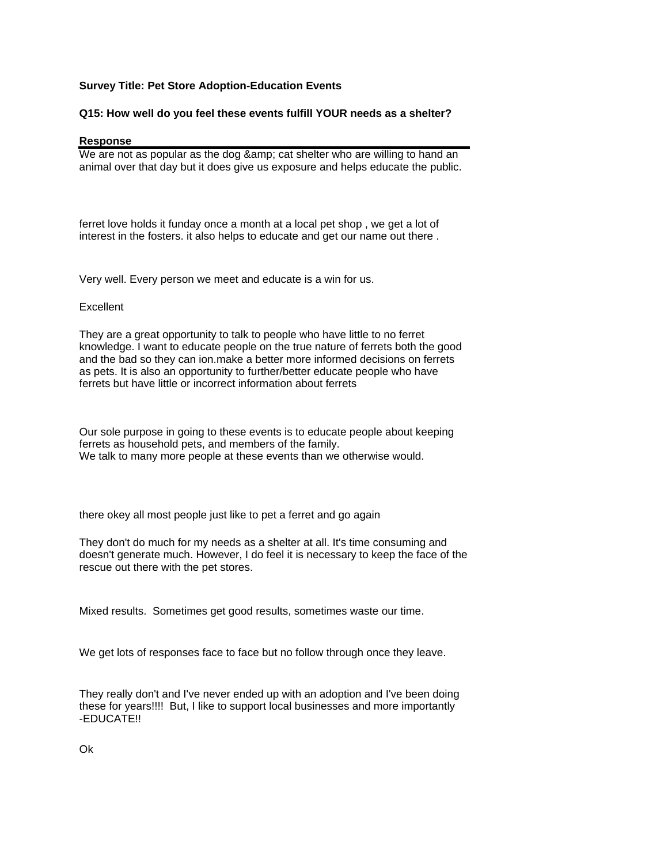## **Survey Title: Pet Store Adoption-Education Events**

## **Q15: How well do you feel these events fulfill YOUR needs as a shelter?**

## **Response**

We are not as popular as the dog & amp; cat shelter who are willing to hand an animal over that day but it does give us exposure and helps educate the public.

ferret love holds it funday once a month at a local pet shop , we get a lot of interest in the fosters. it also helps to educate and get our name out there .

Very well. Every person we meet and educate is a win for us.

## **Excellent**

They are a great opportunity to talk to people who have little to no ferret knowledge. I want to educate people on the true nature of ferrets both the good and the bad so they can ion.make a better more informed decisions on ferrets as pets. It is also an opportunity to further/better educate people who have ferrets but have little or incorrect information about ferrets

Our sole purpose in going to these events is to educate people about keeping ferrets as household pets, and members of the family. We talk to many more people at these events than we otherwise would.

there okey all most people just like to pet a ferret and go again

They don't do much for my needs as a shelter at all. It's time consuming and doesn't generate much. However, I do feel it is necessary to keep the face of the rescue out there with the pet stores.

Mixed results. Sometimes get good results, sometimes waste our time.

We get lots of responses face to face but no follow through once they leave.

They really don't and I've never ended up with an adoption and I've been doing these for years!!!! But, I like to support local businesses and more importantly -EDUCATE!!

Ok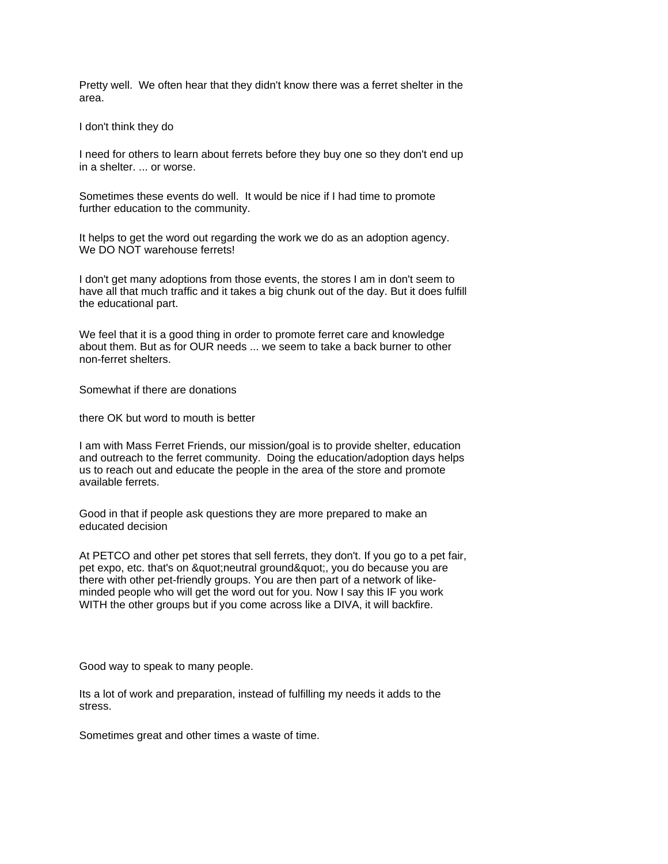Pretty well. We often hear that they didn't know there was a ferret shelter in the area.

I don't think they do

I need for others to learn about ferrets before they buy one so they don't end up in a shelter. ... or worse.

Sometimes these events do well. It would be nice if I had time to promote further education to the community.

It helps to get the word out regarding the work we do as an adoption agency. We DO NOT warehouse ferrets!

I don't get many adoptions from those events, the stores I am in don't seem to have all that much traffic and it takes a big chunk out of the day. But it does fulfill the educational part.

We feel that it is a good thing in order to promote ferret care and knowledge about them. But as for OUR needs ... we seem to take a back burner to other non-ferret shelters.

Somewhat if there are donations

there OK but word to mouth is better

I am with Mass Ferret Friends, our mission/goal is to provide shelter, education and outreach to the ferret community. Doing the education/adoption days helps us to reach out and educate the people in the area of the store and promote available ferrets.

Good in that if people ask questions they are more prepared to make an educated decision

At PETCO and other pet stores that sell ferrets, they don't. If you go to a pet fair, pet expo, etc. that's on " neutral ground ", you do because you are there with other pet-friendly groups. You are then part of a network of likeminded people who will get the word out for you. Now I say this IF you work WITH the other groups but if you come across like a DIVA, it will backfire.

Good way to speak to many people.

Its a lot of work and preparation, instead of fulfilling my needs it adds to the stress.

Sometimes great and other times a waste of time.